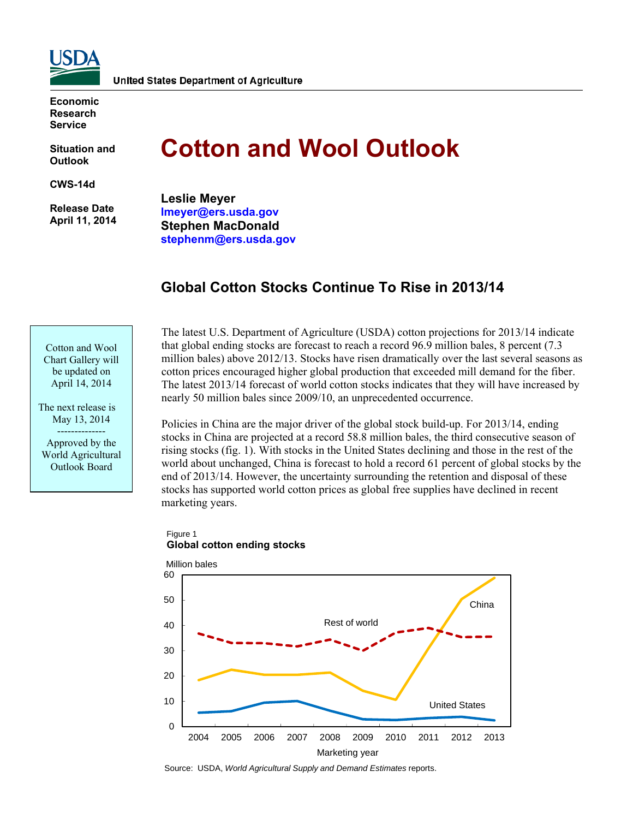

**Economic Research Service** 

**Situation and Outlook** 

**CWS-14d** 

 **Release Date April 11, 2014** 

# **Cotton and Wool Outlook**

**Leslie Meyer lmeyer@ers.usda.gov Stephen MacDonald stephenm@ers.usda.gov** 

# **Global Cotton Stocks Continue To Rise in 2013/14**

Cotton and Wool Chart Gallery will be updated on April 14, 2014

The next release is May 13, 2014 -------------- Approved by the World Agricultural Outlook Board

The latest U.S. Department of Agriculture (USDA) cotton projections for 2013/14 indicate that global ending stocks are forecast to reach a record 96.9 million bales, 8 percent (7.3 million bales) above 2012/13. Stocks have risen dramatically over the last several seasons as cotton prices encouraged higher global production that exceeded mill demand for the fiber. The latest 2013/14 forecast of world cotton stocks indicates that they will have increased by nearly 50 million bales since 2009/10, an unprecedented occurrence.

Policies in China are the major driver of the global stock build-up. For 2013/14, ending stocks in China are projected at a record 58.8 million bales, the third consecutive season of rising stocks (fig. 1). With stocks in the United States declining and those in the rest of the world about unchanged, China is forecast to hold a record 61 percent of global stocks by the end of 2013/14. However, the uncertainty surrounding the retention and disposal of these stocks has supported world cotton prices as global free supplies have declined in recent marketing years.



### Figure 1 **Global cotton ending stocks**

Source: USDA, *World Agricultural Supply and Demand Estimates* reports.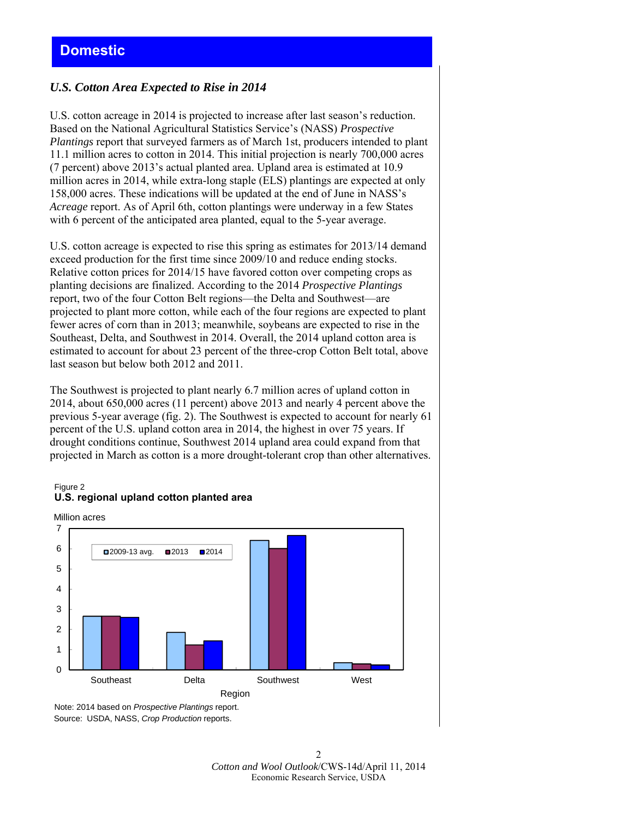### *U.S. Cotton Area Expected to Rise in 2014*

U.S. cotton acreage in 2014 is projected to increase after last season's reduction. Based on the National Agricultural Statistics Service's (NASS) *Prospective Plantings* report that surveyed farmers as of March 1st, producers intended to plant 11.1 million acres to cotton in 2014. This initial projection is nearly 700,000 acres (7 percent) above 2013's actual planted area. Upland area is estimated at 10.9 million acres in 2014, while extra-long staple (ELS) plantings are expected at only 158,000 acres. These indications will be updated at the end of June in NASS's *Acreage* report. As of April 6th, cotton plantings were underway in a few States with 6 percent of the anticipated area planted, equal to the 5-year average.

U.S. cotton acreage is expected to rise this spring as estimates for 2013/14 demand exceed production for the first time since 2009/10 and reduce ending stocks. Relative cotton prices for 2014/15 have favored cotton over competing crops as planting decisions are finalized. According to the 2014 *Prospective Plantings* report, two of the four Cotton Belt regions—the Delta and Southwest—are projected to plant more cotton, while each of the four regions are expected to plant fewer acres of corn than in 2013; meanwhile, soybeans are expected to rise in the Southeast, Delta, and Southwest in 2014. Overall, the 2014 upland cotton area is estimated to account for about 23 percent of the three-crop Cotton Belt total, above last season but below both 2012 and 2011.

The Southwest is projected to plant nearly 6.7 million acres of upland cotton in 2014, about 650,000 acres (11 percent) above 2013 and nearly 4 percent above the previous 5-year average (fig. 2). The Southwest is expected to account for nearly 61 percent of the U.S. upland cotton area in 2014, the highest in over 75 years. If drought conditions continue, Southwest 2014 upland area could expand from that projected in March as cotton is a more drought-tolerant crop than other alternatives.

#### Figure 2 **U.S. regional upland cotton planted area**



Source: USDA, NASS, *Crop Production* reports.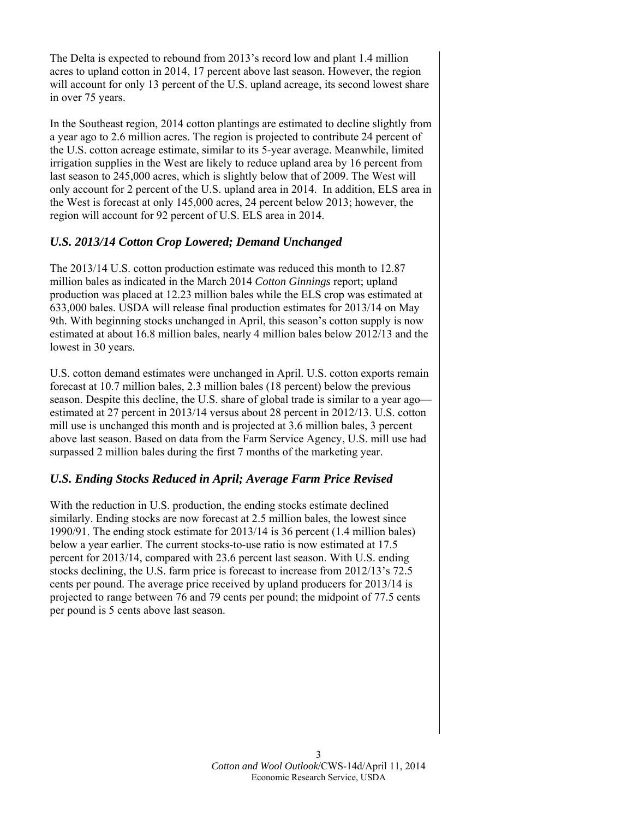The Delta is expected to rebound from 2013's record low and plant 1.4 million acres to upland cotton in 2014, 17 percent above last season. However, the region will account for only 13 percent of the U.S. upland acreage, its second lowest share in over 75 years.

In the Southeast region, 2014 cotton plantings are estimated to decline slightly from a year ago to 2.6 million acres. The region is projected to contribute 24 percent of the U.S. cotton acreage estimate, similar to its 5-year average. Meanwhile, limited irrigation supplies in the West are likely to reduce upland area by 16 percent from last season to 245,000 acres, which is slightly below that of 2009. The West will only account for 2 percent of the U.S. upland area in 2014. In addition, ELS area in the West is forecast at only 145,000 acres, 24 percent below 2013; however, the region will account for 92 percent of U.S. ELS area in 2014.

### *U.S. 2013/14 Cotton Crop Lowered; Demand Unchanged*

The 2013/14 U.S. cotton production estimate was reduced this month to 12.87 million bales as indicated in the March 2014 *Cotton Ginnings* report; upland production was placed at 12.23 million bales while the ELS crop was estimated at 633,000 bales. USDA will release final production estimates for 2013/14 on May 9th. With beginning stocks unchanged in April, this season's cotton supply is now estimated at about 16.8 million bales, nearly 4 million bales below 2012/13 and the lowest in 30 years.

U.S. cotton demand estimates were unchanged in April. U.S. cotton exports remain forecast at 10.7 million bales, 2.3 million bales (18 percent) below the previous season. Despite this decline, the U.S. share of global trade is similar to a year ago estimated at 27 percent in 2013/14 versus about 28 percent in 2012/13. U.S. cotton mill use is unchanged this month and is projected at 3.6 million bales, 3 percent above last season. Based on data from the Farm Service Agency, U.S. mill use had surpassed 2 million bales during the first 7 months of the marketing year.

## *U.S. Ending Stocks Reduced in April; Average Farm Price Revised*

With the reduction in U.S. production, the ending stocks estimate declined similarly. Ending stocks are now forecast at 2.5 million bales, the lowest since 1990/91. The ending stock estimate for 2013/14 is 36 percent (1.4 million bales) below a year earlier. The current stocks-to-use ratio is now estimated at 17.5 percent for 2013/14, compared with 23.6 percent last season. With U.S. ending stocks declining, the U.S. farm price is forecast to increase from 2012/13's 72.5 cents per pound. The average price received by upland producers for 2013/14 is projected to range between 76 and 79 cents per pound; the midpoint of 77.5 cents per pound is 5 cents above last season.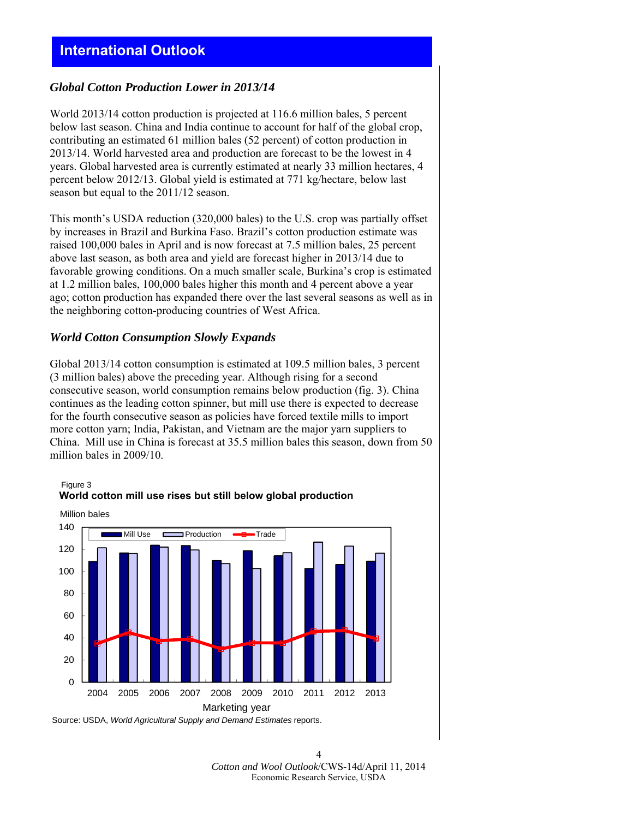# **International Outlook**

### *Global Cotton Production Lower in 2013/14*

World 2013/14 cotton production is projected at 116.6 million bales, 5 percent below last season. China and India continue to account for half of the global crop, contributing an estimated 61 million bales (52 percent) of cotton production in 2013/14. World harvested area and production are forecast to be the lowest in 4 years. Global harvested area is currently estimated at nearly 33 million hectares, 4 percent below 2012/13. Global yield is estimated at 771 kg/hectare, below last season but equal to the 2011/12 season.

This month's USDA reduction (320,000 bales) to the U.S. crop was partially offset by increases in Brazil and Burkina Faso. Brazil's cotton production estimate was raised 100,000 bales in April and is now forecast at 7.5 million bales, 25 percent above last season, as both area and yield are forecast higher in 2013/14 due to favorable growing conditions. On a much smaller scale, Burkina's crop is estimated at 1.2 million bales, 100,000 bales higher this month and 4 percent above a year ago; cotton production has expanded there over the last several seasons as well as in the neighboring cotton-producing countries of West Africa.

### *World Cotton Consumption Slowly Expands*

Figure 3

Global 2013/14 cotton consumption is estimated at 109.5 million bales, 3 percent (3 million bales) above the preceding year. Although rising for a second consecutive season, world consumption remains below production (fig. 3). China continues as the leading cotton spinner, but mill use there is expected to decrease for the fourth consecutive season as policies have forced textile mills to import more cotton yarn; India, Pakistan, and Vietnam are the major yarn suppliers to China. Mill use in China is forecast at 35.5 million bales this season, down from 50 million bales in 2009/10.



# **World cotton mill use rises but still below global production**

Source: USDA, *World Agricultural Supply and Demand Estimates* reports.

4 *Cotton and Wool Outlook*/CWS-14d/April 11, 2014 Economic Research Service, USDA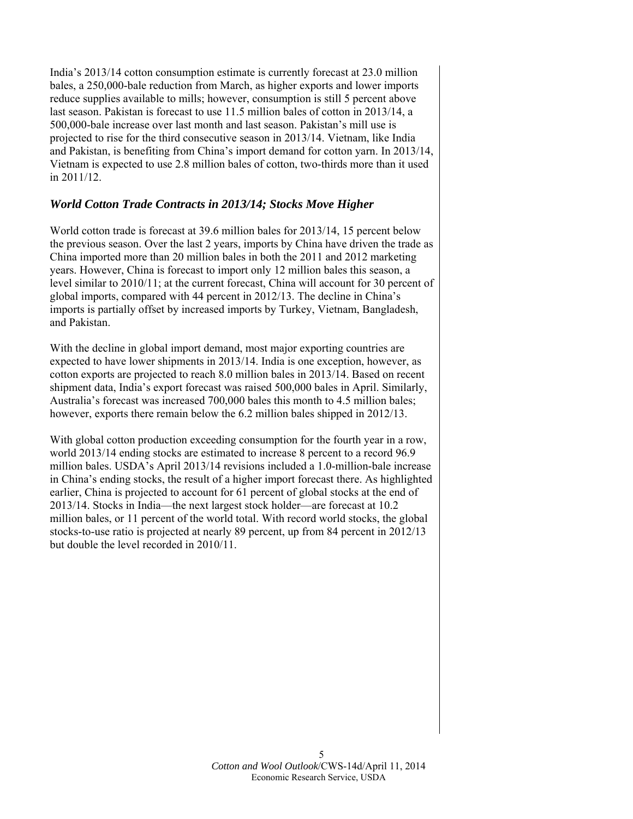India's 2013/14 cotton consumption estimate is currently forecast at 23.0 million bales, a 250,000-bale reduction from March, as higher exports and lower imports reduce supplies available to mills; however, consumption is still 5 percent above last season. Pakistan is forecast to use 11.5 million bales of cotton in 2013/14, a 500,000-bale increase over last month and last season. Pakistan's mill use is projected to rise for the third consecutive season in 2013/14. Vietnam, like India and Pakistan, is benefiting from China's import demand for cotton yarn. In 2013/14, Vietnam is expected to use 2.8 million bales of cotton, two-thirds more than it used in 2011/12.

### *World Cotton Trade Contracts in 2013/14; Stocks Move Higher*

World cotton trade is forecast at 39.6 million bales for 2013/14, 15 percent below the previous season. Over the last 2 years, imports by China have driven the trade as China imported more than 20 million bales in both the 2011 and 2012 marketing years. However, China is forecast to import only 12 million bales this season, a level similar to 2010/11; at the current forecast, China will account for 30 percent of global imports, compared with 44 percent in 2012/13. The decline in China's imports is partially offset by increased imports by Turkey, Vietnam, Bangladesh, and Pakistan.

With the decline in global import demand, most major exporting countries are expected to have lower shipments in 2013/14. India is one exception, however, as cotton exports are projected to reach 8.0 million bales in 2013/14. Based on recent shipment data, India's export forecast was raised 500,000 bales in April. Similarly, Australia's forecast was increased 700,000 bales this month to 4.5 million bales; however, exports there remain below the 6.2 million bales shipped in 2012/13.

With global cotton production exceeding consumption for the fourth year in a row, world 2013/14 ending stocks are estimated to increase 8 percent to a record 96.9 million bales. USDA's April 2013/14 revisions included a 1.0-million-bale increase in China's ending stocks, the result of a higher import forecast there. As highlighted earlier, China is projected to account for 61 percent of global stocks at the end of 2013/14. Stocks in India—the next largest stock holder—are forecast at 10.2 million bales, or 11 percent of the world total. With record world stocks, the global stocks-to-use ratio is projected at nearly 89 percent, up from 84 percent in 2012/13 but double the level recorded in 2010/11.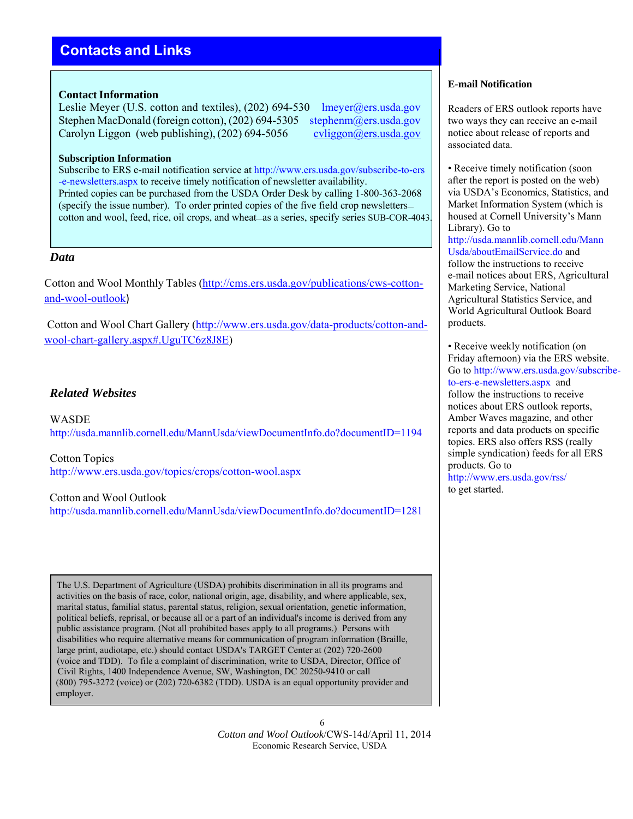# **Contacts and Links**

### **Contact Information**

Leslie Meyer (U.S. cotton and textiles), (202) 694-530 lmeyer@ers.usda.gov Stephen MacDonald (foreign cotton), (202) 694-5305 stephenm@ers.usda.gov Carolyn Liggon (web publishing),  $(202)$  694-5056 cvliggon@ers.usda.gov

#### **Subscription Information**

Subscribe to ERS e-mail notification service at http://www.ers.usda.gov/subscribe-to-ers -e-newsletters.aspx to receive timely notification of newsletter availability. Printed copies can be purchased from the USDA Order Desk by calling 1-800-363-2068 (specify the issue number). To order printed copies of the five field crop newsletters cotton and wool, feed, rice, oil crops, and wheat—as a series, specify series SUB-COR-4043.

### *Data*

Cotton and Wool Monthly Tables (http://cms.ers.usda.gov/publications/cws-cottonand-wool-outlook)

Cotton and Wool Chart Gallery (http://www.ers.usda.gov/data-products/cotton-andwool-chart-gallery.aspx#.UguTC6z8J8E)

### *Related Websites*

WASDE http://usda.mannlib.cornell.edu/MannUsda/viewDocumentInfo.do?documentID=1194

Cotton Topics http://www.ers.usda.gov/topics/crops/cotton-wool.aspx

#### Cotton and Wool Outlook

http://usda.mannlib.cornell.edu/MannUsda/viewDocumentInfo.do?documentID=1281

The U.S. Department of Agriculture (USDA) prohibits discrimination in all its programs and activities on the basis of race, color, national origin, age, disability, and where applicable, sex, marital status, familial status, parental status, religion, sexual orientation, genetic information, political beliefs, reprisal, or because all or a part of an individual's income is derived from any public assistance program. (Not all prohibited bases apply to all programs.) Persons with disabilities who require alternative means for communication of program information (Braille, large print, audiotape, etc.) should contact USDA's TARGET Center at (202) 720-2600 (voice and TDD). To file a complaint of discrimination, write to USDA, Director, Office of Civil Rights, 1400 Independence Avenue, SW, Washington, DC 20250-9410 or call (800) 795-3272 (voice) or (202) 720-6382 (TDD). USDA is an equal opportunity provider and employer.

> 6 *Cotton and Wool Outlook*/CWS-14d/April 11, 2014 Economic Research Service, USDA

#### **E-mail Notification**

Readers of ERS outlook reports have two ways they can receive an e-mail notice about release of reports and associated data.

• Receive timely notification (soon) after the report is posted on the web) via USDA's Economics, Statistics, and Market Information System (which is housed at Cornell University's Mann Library). Go to http://usda.mannlib.cornell.edu/Mann Usda/aboutEmailService.do and follow the instructions to receive e-mail notices about ERS, Agricultural Marketing Service, National Agricultural Statistics Service, and World Agricultural Outlook Board products.

• Receive weekly notification (on Friday afternoon) via the ERS website. Go to http://www.ers.usda.gov/subscribeto-ers-e-newsletters.aspx and follow the instructions to receive notices about ERS outlook reports, Amber Waves magazine, and other reports and data products on specific topics. ERS also offers RSS (really simple syndication) feeds for all ERS products. Go to http://www.ers.usda.gov/rss/

to get started.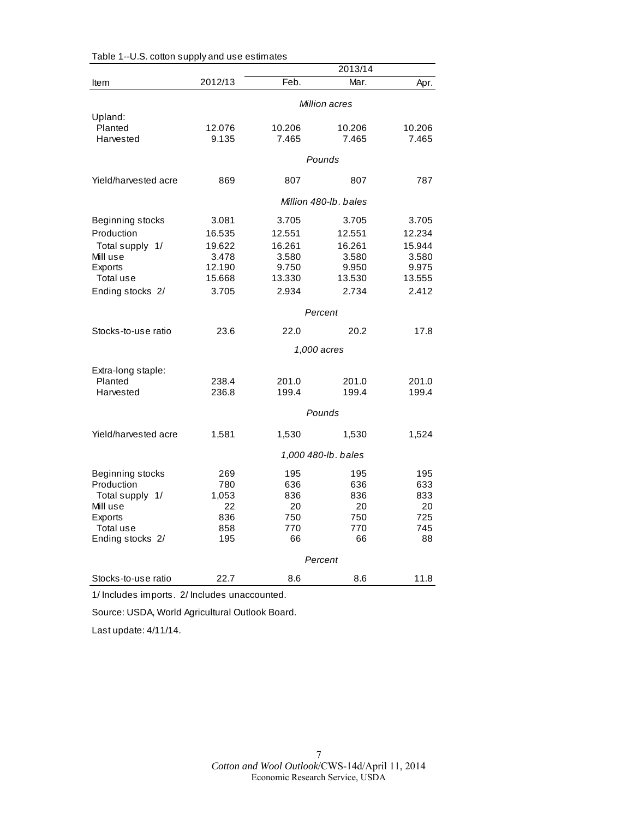|                      |                     |        | 2013/14               |        |  |
|----------------------|---------------------|--------|-----------------------|--------|--|
| Item                 | 2012/13             | Feb.   | Mar.                  | Apr.   |  |
|                      | Million acres       |        |                       |        |  |
| Upland:              |                     |        |                       |        |  |
| Planted              | 12.076              | 10.206 | 10.206                | 10.206 |  |
| Harvested            | 9.135               | 7.465  | 7.465                 | 7.465  |  |
|                      |                     |        | Pounds                |        |  |
| Yield/harvested acre | 869                 | 807    | 807                   | 787    |  |
|                      |                     |        | Million 480-lb, bales |        |  |
| Beginning stocks     | 3.081               | 3.705  | 3.705                 | 3.705  |  |
| Production           | 16.535              | 12.551 | 12.551                | 12.234 |  |
| Total supply 1/      | 19.622              | 16.261 | 16.261                | 15.944 |  |
| Mill use             | 3.478               | 3.580  | 3.580                 | 3.580  |  |
| Exports              | 12.190              | 9.750  | 9.950                 | 9.975  |  |
| Total use            | 15.668              | 13.330 | 13.530                | 13.555 |  |
| Ending stocks 2/     | 3.705               | 2.934  | 2.734                 | 2.412  |  |
|                      | Percent             |        |                       |        |  |
| Stocks-to-use ratio  | 23.6                | 22.0   | 20.2                  | 17.8   |  |
|                      |                     |        | 1,000 acres           |        |  |
| Extra-long staple:   |                     |        |                       |        |  |
| Planted              | 238.4               | 201.0  | 201.0                 | 201.0  |  |
| Harvested            | 236.8               | 199.4  | 199.4                 | 199.4  |  |
|                      | Pounds              |        |                       |        |  |
| Yield/harvested acre | 1,581               | 1,530  | 1,530                 | 1,524  |  |
|                      | 1,000 480-lb. bales |        |                       |        |  |
| Beginning stocks     | 269                 | 195    | 195                   | 195    |  |
| Production           | 780                 | 636    | 636                   | 633    |  |
| Total supply 1/      | 1,053               | 836    | 836                   | 833    |  |
| Mill use             | 22                  | 20     | 20                    | 20     |  |
| <b>Exports</b>       | 836                 | 750    | 750                   | 725    |  |
| Total use            | 858                 | 770    | 770                   | 745    |  |
| Ending stocks 2/     | 195                 | 66     | 66                    | 88     |  |
|                      |                     |        | Percent               |        |  |
| Stocks-to-use ratio  | 22.7                | 8.6    | 8.6                   | 11.8   |  |

| Table 1--U.S. cotton supply and use estimates |  |  |  |  |  |
|-----------------------------------------------|--|--|--|--|--|
|-----------------------------------------------|--|--|--|--|--|

1/ Includes imports. 2/ Includes unaccounted.

Source: USDA, World Agricultural Outlook Board.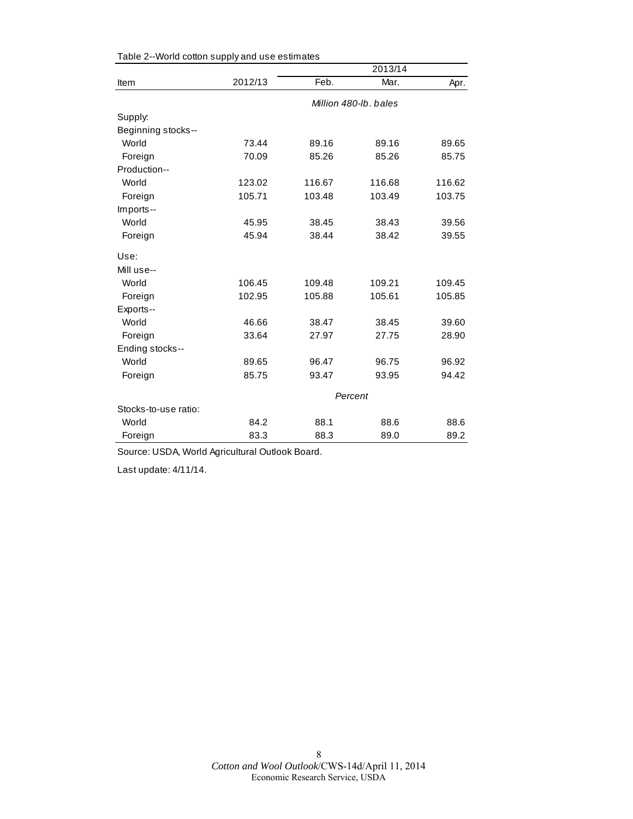|                      |                       |        | 2013/14 |        |  |
|----------------------|-----------------------|--------|---------|--------|--|
| Item                 | 2012/13               | Feb.   | Mar.    | Apr.   |  |
|                      | Million 480-lb, bales |        |         |        |  |
| Supply:              |                       |        |         |        |  |
| Beginning stocks--   |                       |        |         |        |  |
| World                | 73.44                 | 89.16  | 89.16   | 89.65  |  |
| Foreign              | 70.09                 | 85.26  | 85.26   | 85.75  |  |
| Production--         |                       |        |         |        |  |
| World                | 123.02                | 116.67 | 116.68  | 116.62 |  |
| Foreign              | 105.71                | 103.48 | 103.49  | 103.75 |  |
| Imports--            |                       |        |         |        |  |
| World                | 45.95                 | 38.45  | 38.43   | 39.56  |  |
| Foreign              | 45.94                 | 38.44  | 38.42   | 39.55  |  |
| Use:                 |                       |        |         |        |  |
| Mill use--           |                       |        |         |        |  |
| World                | 106.45                | 109.48 | 109.21  | 109.45 |  |
| Foreign              | 102.95                | 105.88 | 105.61  | 105.85 |  |
| Exports--            |                       |        |         |        |  |
| World                | 46.66                 | 38.47  | 38.45   | 39.60  |  |
| Foreign              | 33.64                 | 27.97  | 27.75   | 28.90  |  |
| Ending stocks--      |                       |        |         |        |  |
| World                | 89.65                 | 96.47  | 96.75   | 96.92  |  |
| Foreign              | 85.75                 | 93.47  | 93.95   | 94.42  |  |
|                      | Percent               |        |         |        |  |
| Stocks-to-use ratio: |                       |        |         |        |  |
| World                | 84.2                  | 88.1   | 88.6    | 88.6   |  |
| Foreign              | 83.3                  | 88.3   | 89.0    | 89.2   |  |

Table 2--World cotton supply and use estimates

Source: USDA, World Agricultural Outlook Board.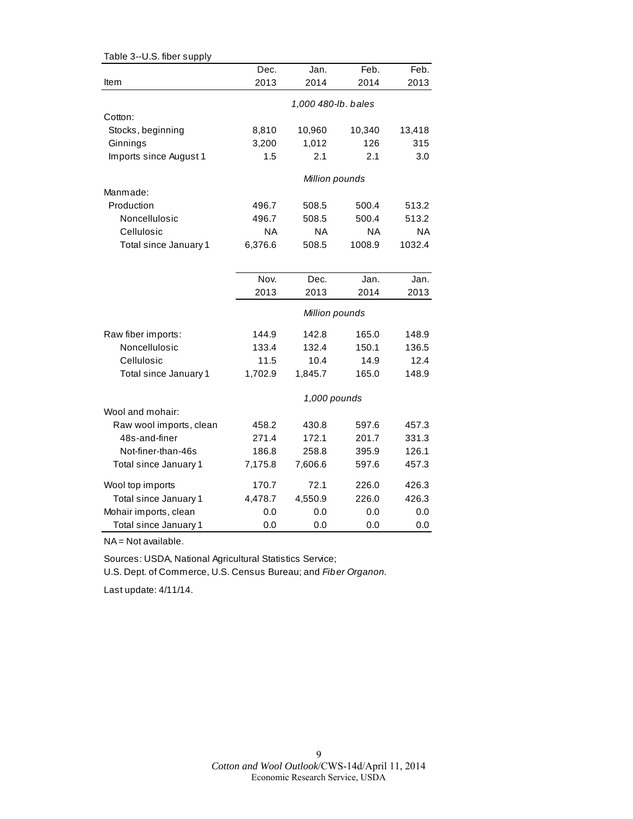| Table 3--U.S. fiber supply |           |                     |           |           |
|----------------------------|-----------|---------------------|-----------|-----------|
|                            | Dec.      | Jan.                | Feb.      | Feb.      |
| Item                       | 2013      | 2014                | 2014      | 2013      |
|                            |           | 1,000 480-lb. bales |           |           |
| Cotton:                    |           |                     |           |           |
| Stocks, beginning          | 8,810     | 10,960              | 10,340    | 13,418    |
| Ginnings                   | 3,200     | 1,012               | 126       | 315       |
| Imports since August 1     | 1.5       | 2.1                 | 2.1       | 3.0       |
|                            |           |                     |           |           |
|                            |           | Million pounds      |           |           |
| Manmade:                   |           |                     |           |           |
| Production                 | 496.7     | 508.5               | 500.4     | 513.2     |
| Noncellulosic              | 496.7     | 508.5               | 500.4     | 513.2     |
| Cellulosic                 | <b>NA</b> | <b>NA</b>           | <b>NA</b> | <b>NA</b> |
| Total since January 1      | 6,376.6   | 508.5               | 1008.9    | 1032.4    |
|                            |           |                     |           |           |
|                            | Nov.      | Dec.                | Jan.      | Jan.      |
|                            | 2013      | 2013                | 2014      | 2013      |
|                            |           | Million pounds      |           |           |
| Raw fiber imports:         | 144.9     | 142.8               | 165.0     | 148.9     |
| Noncellulosic              | 133.4     | 132.4               | 150.1     | 136.5     |
| Cellulosic                 | 11.5      | 10.4                | 14.9      | 12.4      |
| Total since January 1      | 1,702.9   | 1,845.7             | 165.0     | 148.9     |
|                            |           | 1,000 pounds        |           |           |
| Wool and mohair:           |           |                     |           |           |
| Raw wool imports, clean    | 458.2     | 430.8               | 597.6     | 457.3     |
| 48s-and-finer              | 271.4     | 172.1               | 201.7     | 331.3     |
| Not-finer-than-46s         | 186.8     | 258.8               | 395.9     | 126.1     |
| Total since January 1      | 7,175.8   | 7,606.6             | 597.6     | 457.3     |
| Wool top imports           | 170.7     | 72.1                | 226.0     | 426.3     |
| Total since January 1      | 4,478.7   | 4,550.9             | 226.0     | 426.3     |
| Mohair imports, clean      | 0.0       | 0.0                 | 0.0       | 0.0       |
| Total since January 1      | 0.0       | 0.0                 | 0.0       | 0.0       |

NA = Not available.

Sources: USDA, National Agricultural Statistics Service; U.S. Dept. of Commerce, U.S. Census Bureau; and *Fiber Organon.*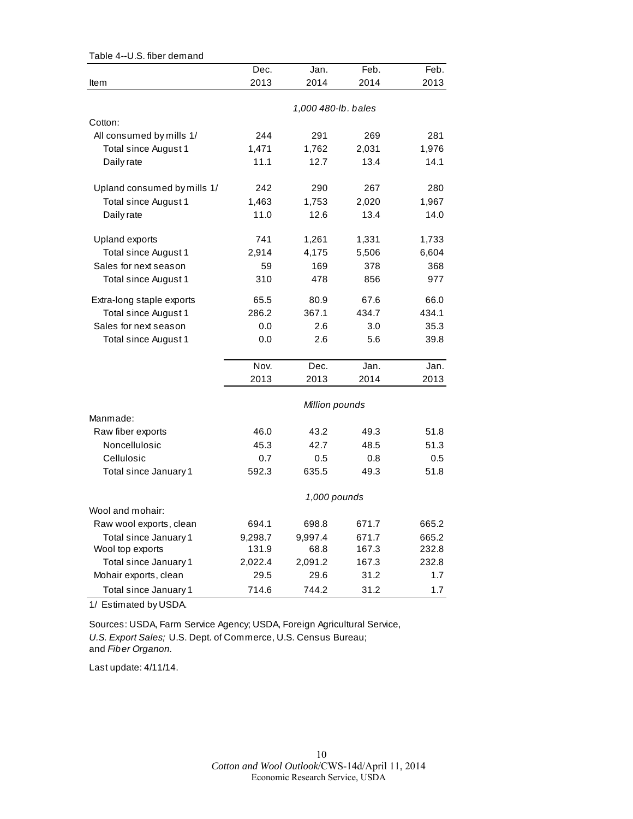| Table 4--U.S. fiber demand  |                |                     |       |       |
|-----------------------------|----------------|---------------------|-------|-------|
|                             | Dec.           | Jan.                | Feb.  | Feb.  |
| Item                        | 2013           | 2014                | 2014  | 2013  |
|                             |                |                     |       |       |
|                             |                | 1,000 480-lb. bales |       |       |
| Cotton:                     |                |                     |       |       |
| All consumed by mills 1/    | 244            | 291                 | 269   | 281   |
| Total since August 1        | 1,471          | 1,762               | 2,031 | 1,976 |
| Daily rate                  | 11.1           | 12.7                | 13.4  | 14.1  |
| Upland consumed by mills 1/ | 242            | 290                 | 267   | 280   |
| Total since August 1        | 1,463          | 1,753               | 2,020 | 1,967 |
| Daily rate                  | 11.0           | 12.6                | 13.4  | 14.0  |
| Upland exports              | 741            | 1,261               | 1,331 | 1,733 |
| Total since August 1        | 2,914          | 4,175               | 5,506 | 6,604 |
| Sales for next season       | 59             | 169                 | 378   | 368   |
| Total since August 1        | 310            | 478                 | 856   | 977   |
| Extra-long staple exports   | 65.5           | 80.9                | 67.6  | 66.0  |
| Total since August 1        | 286.2          | 367.1               | 434.7 | 434.1 |
| Sales for next season       | 0.0            | 2.6                 | 3.0   | 35.3  |
| Total since August 1        | 0.0            | 2.6                 | 5.6   | 39.8  |
|                             | Nov.           | Dec.                | Jan.  | Jan.  |
|                             | 2013           | 2013                | 2014  | 2013  |
|                             | Million pounds |                     |       |       |
| Manmade:                    |                |                     |       |       |
| Raw fiber exports           | 46.0           | 43.2                | 49.3  | 51.8  |
| Noncellulosic               | 45.3           | 42.7                | 48.5  | 51.3  |
| Cellulosic                  | 0.7            | 0.5                 | 0.8   | 0.5   |
| Total since January 1       | 592.3          | 635.5               | 49.3  | 51.8  |
|                             |                | 1,000 pounds        |       |       |
| Wool and mohair:            |                |                     |       |       |
| Raw wool exports, clean     | 694.1          | 698.8               | 671.7 | 665.2 |
| Total since January 1       | 9,298.7        | 9,997.4             | 671.7 | 665.2 |
| Wool top exports            | 131.9          | 68.8                | 167.3 | 232.8 |
| Total since January 1       | 2,022.4        | 2,091.2             | 167.3 | 232.8 |
| Mohair exports, clean       | 29.5           | 29.6                | 31.2  | 1.7   |
| Total since January 1       | 714.6          | 744.2               | 31.2  | 1.7   |

1/ Estimated by USDA.

Sources: USDA, Farm Service Agency; USDA, Foreign Agricultural Service, *U.S. Export Sales;* U.S. Dept. of Commerce, U.S. Census Bureau; and *Fiber Organon.*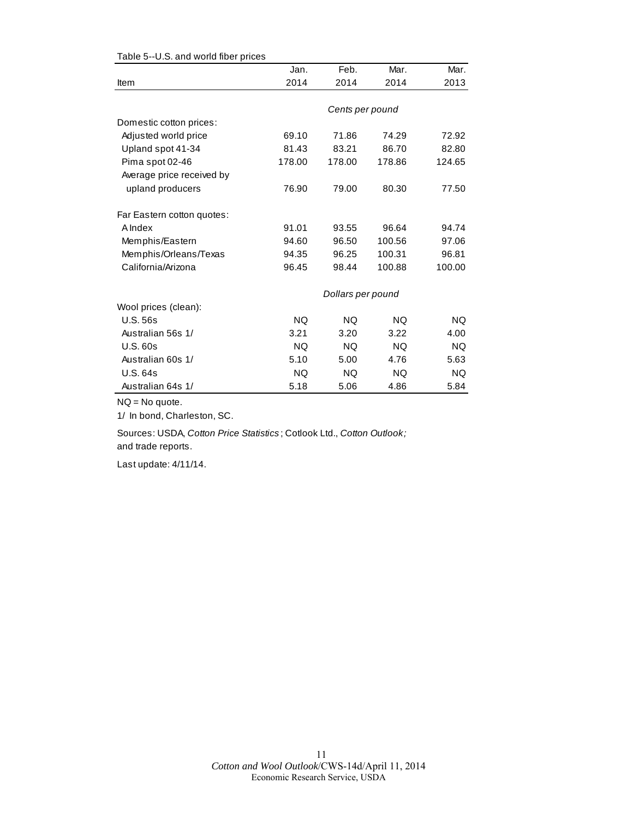|                            | Jan.      | Feb.              | Mar.      | Mar.      |
|----------------------------|-----------|-------------------|-----------|-----------|
| Item                       | 2014      | 2014              | 2014      | 2013      |
|                            |           |                   |           |           |
|                            |           | Cents per pound   |           |           |
| Domestic cotton prices:    |           |                   |           |           |
| Adjusted world price       | 69.10     | 71.86             | 74.29     | 72.92     |
| Upland spot 41-34          | 81.43     | 83.21             | 86.70     | 82.80     |
| Pima spot 02-46            | 178.00    | 178.00            | 178.86    | 124.65    |
| Average price received by  |           |                   |           |           |
| upland producers           | 76.90     | 79.00             | 80.30     | 77.50     |
| Far Eastern cotton quotes: |           |                   |           |           |
| A Index                    | 91.01     | 93.55             | 96.64     | 94.74     |
| Memphis/Eastern            | 94.60     | 96.50             | 100.56    | 97.06     |
| Memphis/Orleans/Texas      | 94.35     | 96.25             | 100.31    | 96.81     |
| California/Arizona         | 96.45     | 98.44             | 100.88    | 100.00    |
|                            |           | Dollars per pound |           |           |
| Wool prices (clean):       |           |                   |           |           |
| <b>U.S. 56s</b>            | NQ.       | <b>NQ</b>         | <b>NQ</b> | NQ.       |
| Australian 56s 1/          | 3.21      | 3.20              | 3.22      | 4.00      |
| <b>U.S. 60s</b>            | <b>NQ</b> | <b>NQ</b>         | <b>NQ</b> | <b>NQ</b> |
| Australian 60s 1/          | 5.10      | 5.00              | 4.76      | 5.63      |
| U.S. 64s                   | NQ.       | <b>NQ</b>         | NQ        | NQ.       |
| Australian 64s 1/          | 5.18      | 5.06              | 4.86      | 5.84      |

Table 5--U.S. and world fiber prices

NQ = No quote.

1/ In bond, Charleston, SC.

Sources: USDA, *Cotton Price Statistics* ; Cotlook Ltd., *Cotton Outlook;*  and trade reports.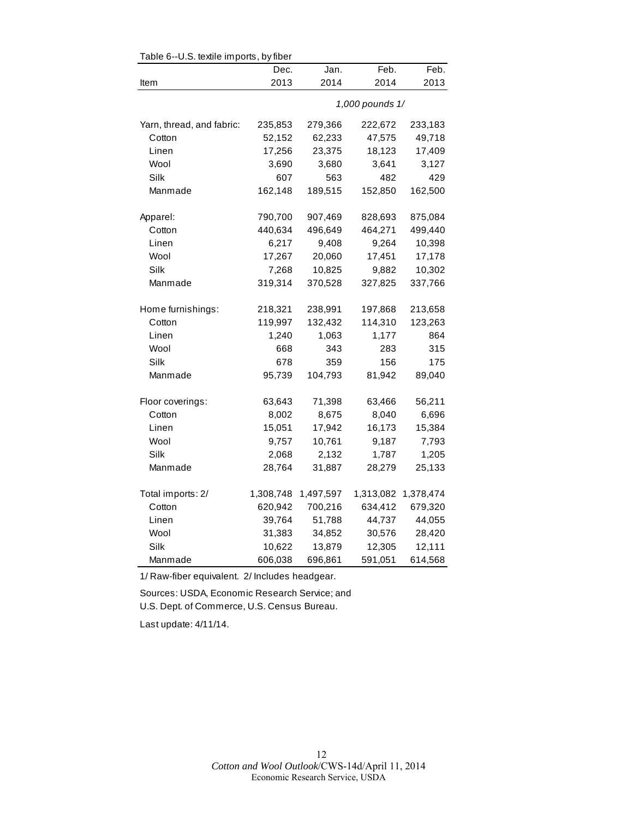| Table 6--U.S. textile imports, by fiber |           |           |                 |           |  |  |  |
|-----------------------------------------|-----------|-----------|-----------------|-----------|--|--|--|
|                                         | Dec.      | Jan.      | Feb.            | Feb.      |  |  |  |
| Item                                    | 2013      | 2014      | 2014            | 2013      |  |  |  |
|                                         |           |           | 1,000 pounds 1/ |           |  |  |  |
| Yarn, thread, and fabric:               | 235,853   | 279,366   | 222,672         | 233,183   |  |  |  |
| Cotton                                  | 52,152    | 62,233    | 47,575          | 49,718    |  |  |  |
| Linen                                   | 17,256    | 23,375    | 18,123          | 17,409    |  |  |  |
| Wool                                    | 3,690     | 3,680     | 3,641           | 3,127     |  |  |  |
| Silk                                    | 607       | 563       | 482             | 429       |  |  |  |
| Manmade                                 | 162,148   | 189,515   | 152,850         | 162,500   |  |  |  |
| Apparel:                                | 790,700   | 907,469   | 828,693         | 875,084   |  |  |  |
| Cotton                                  | 440,634   | 496,649   | 464,271         | 499,440   |  |  |  |
| Linen                                   | 6,217     | 9,408     | 9,264           | 10,398    |  |  |  |
| Wool                                    | 17,267    | 20,060    | 17,451          | 17,178    |  |  |  |
| Silk                                    | 7,268     | 10,825    | 9,882           | 10,302    |  |  |  |
| Manmade                                 | 319,314   | 370,528   | 327,825         | 337,766   |  |  |  |
| Home furnishings:                       | 218,321   | 238,991   | 197,868         | 213,658   |  |  |  |
| Cotton                                  | 119,997   | 132,432   | 114,310         | 123,263   |  |  |  |
| Linen                                   | 1,240     | 1,063     | 1,177           | 864       |  |  |  |
| Wool                                    | 668       | 343       | 283             | 315       |  |  |  |
| Silk                                    | 678       | 359       | 156             | 175       |  |  |  |
| Manmade                                 | 95,739    | 104,793   | 81,942          | 89,040    |  |  |  |
| Floor coverings:                        | 63,643    | 71,398    | 63,466          | 56,211    |  |  |  |
| Cotton                                  | 8,002     | 8,675     | 8,040           | 6,696     |  |  |  |
| Linen                                   | 15,051    | 17,942    | 16,173          | 15,384    |  |  |  |
| Wool                                    | 9,757     | 10,761    | 9,187           | 7,793     |  |  |  |
| Silk                                    | 2,068     | 2,132     | 1,787           | 1,205     |  |  |  |
| Manmade                                 | 28,764    | 31,887    | 28,279          | 25,133    |  |  |  |
| Total imports: 2/                       | 1,308,748 | 1,497,597 | 1,313,082       | 1,378,474 |  |  |  |
| Cotton                                  | 620,942   | 700,216   | 634,412         | 679,320   |  |  |  |
| Linen                                   | 39,764    | 51,788    | 44,737          | 44,055    |  |  |  |
| Wool                                    | 31,383    | 34,852    | 30,576          | 28,420    |  |  |  |
| Silk                                    | 10,622    | 13,879    | 12,305          | 12,111    |  |  |  |
| Manmade                                 | 606,038   | 696,861   | 591,051         | 614,568   |  |  |  |

 $Table 6-11$ S. textile imports, by fib

1/ Raw-fiber equivalent. 2/ Includes headgear.

Sources: USDA, Economic Research Service; and U.S. Dept. of Commerce, U.S. Census Bureau.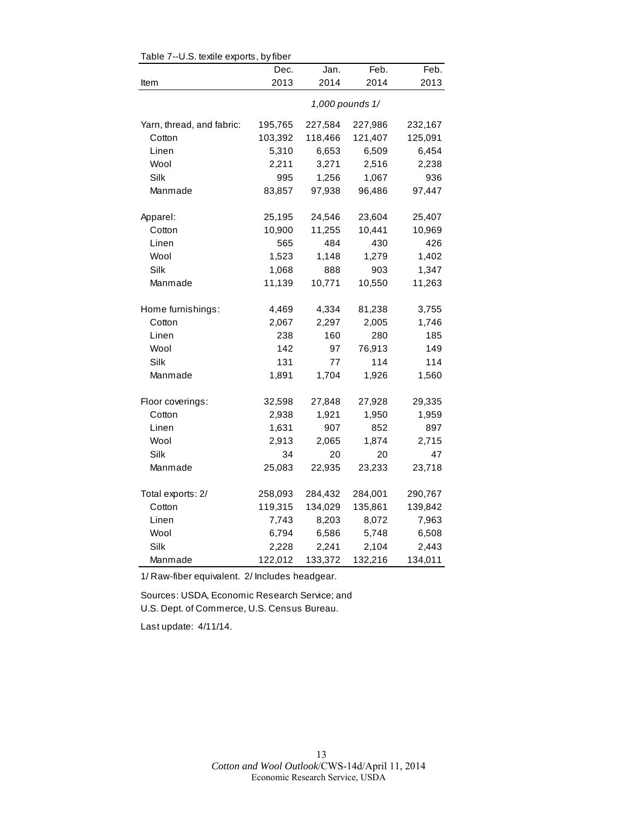| rable $r$ --0.5. lexule exports, by liber |         |         |                 |         |  |  |
|-------------------------------------------|---------|---------|-----------------|---------|--|--|
|                                           | Dec.    | Jan.    | Feb.            | Feb.    |  |  |
| Item                                      | 2013    | 2014    | 2014            | 2013    |  |  |
|                                           |         |         | 1,000 pounds 1/ |         |  |  |
| Yarn, thread, and fabric:                 | 195,765 | 227,584 | 227,986         | 232,167 |  |  |
| Cotton                                    | 103,392 | 118,466 | 121,407         | 125,091 |  |  |
| Linen                                     | 5,310   | 6,653   | 6,509           | 6,454   |  |  |
| Wool                                      | 2,211   | 3,271   | 2,516           | 2,238   |  |  |
| Silk                                      | 995     | 1,256   | 1,067           | 936     |  |  |
| Manmade                                   | 83,857  | 97,938  | 96,486          | 97,447  |  |  |
| Apparel:                                  | 25,195  | 24,546  | 23,604          | 25,407  |  |  |
| Cotton                                    | 10,900  | 11,255  | 10,441          | 10,969  |  |  |
| Linen                                     | 565     | 484     | 430             | 426     |  |  |
| Wool                                      | 1,523   | 1,148   | 1,279           | 1,402   |  |  |
| Silk                                      | 1,068   | 888     | 903             | 1,347   |  |  |
| Manmade                                   | 11,139  | 10,771  | 10,550          | 11,263  |  |  |
| Home furnishings:                         | 4,469   | 4,334   | 81,238          | 3,755   |  |  |
| Cotton                                    | 2,067   | 2,297   | 2,005           | 1,746   |  |  |
| Linen                                     | 238     | 160     | 280             | 185     |  |  |
| Wool                                      | 142     | 97      | 76,913          | 149     |  |  |
| Silk                                      | 131     | 77      | 114             | 114     |  |  |
| Manmade                                   | 1,891   | 1,704   | 1,926           | 1,560   |  |  |
| Floor coverings:                          | 32,598  | 27,848  | 27,928          | 29,335  |  |  |
| Cotton                                    | 2,938   | 1,921   | 1,950           | 1,959   |  |  |
| Linen                                     | 1,631   | 907     | 852             | 897     |  |  |
| Wool                                      | 2,913   | 2,065   | 1,874           | 2,715   |  |  |
| Silk                                      | 34      | 20      | 20              | 47      |  |  |
| Manmade                                   | 25,083  | 22,935  | 23,233          | 23,718  |  |  |
| Total exports: 2/                         | 258,093 | 284,432 | 284,001         | 290,767 |  |  |
| Cotton                                    | 119,315 | 134,029 | 135,861         | 139,842 |  |  |
| Linen                                     | 7,743   | 8,203   | 8,072           | 7,963   |  |  |
| Wool                                      | 6,794   | 6,586   | 5,748           | 6,508   |  |  |
| Silk                                      | 2,228   | 2,241   | 2,104           | 2,443   |  |  |
| Manmade                                   | 122,012 | 133,372 | 132,216         | 134,011 |  |  |

Table 7--U.S. textile exports, by fiber

1/ Raw-fiber equivalent. 2/ Includes headgear.

Sources: USDA, Economic Research Service; and U.S. Dept. of Commerce, U.S. Census Bureau.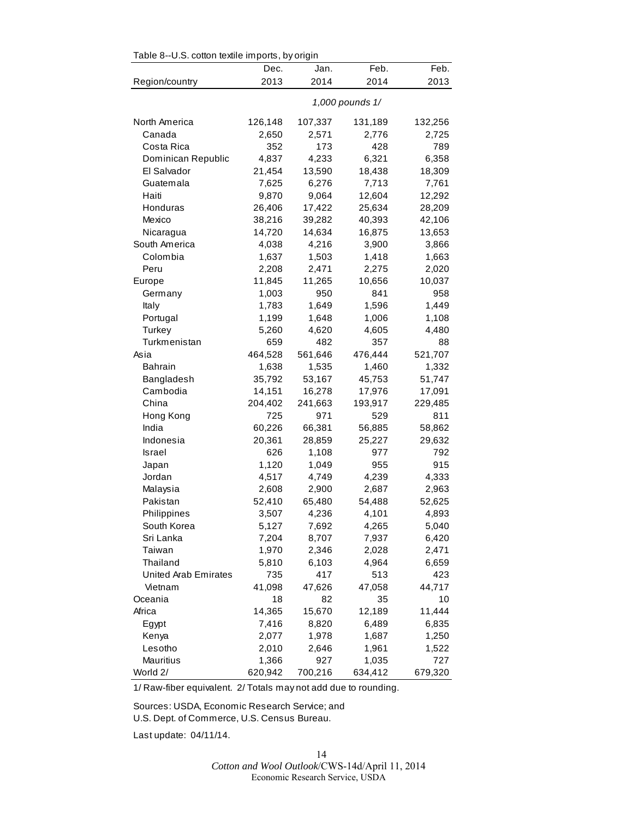| Table 8--0.S. cotton textile imports, by origin |         |         |                 |         |
|-------------------------------------------------|---------|---------|-----------------|---------|
|                                                 | Dec.    | Jan.    | Feb.            | Feb.    |
| Region/country                                  | 2013    | 2014    | 2014            | 2013    |
|                                                 |         |         | 1,000 pounds 1/ |         |
| North America                                   | 126,148 | 107,337 | 131,189         | 132,256 |
| Canada                                          | 2,650   | 2,571   | 2,776           | 2,725   |
| Costa Rica                                      | 352     | 173     | 428             | 789     |
| Dominican Republic                              | 4,837   | 4,233   | 6,321           | 6,358   |
| El Salvador                                     | 21,454  | 13,590  | 18,438          | 18,309  |
| Guatemala                                       | 7,625   | 6,276   | 7,713           | 7,761   |
| Haiti                                           | 9,870   | 9,064   | 12,604          | 12,292  |
| Honduras                                        | 26,406  | 17,422  | 25,634          | 28,209  |
| Mexico                                          | 38,216  | 39,282  | 40,393          | 42,106  |
| Nicaragua                                       | 14,720  | 14,634  | 16,875          | 13,653  |
| South America                                   | 4,038   | 4,216   | 3,900           | 3,866   |
| Colombia                                        | 1,637   | 1,503   | 1,418           | 1,663   |
| Peru                                            | 2,208   | 2,471   | 2,275           | 2,020   |
| Europe                                          | 11,845  | 11,265  | 10,656          | 10,037  |
| Germany                                         | 1,003   | 950     | 841             | 958     |
| Italy                                           | 1,783   | 1,649   | 1,596           | 1,449   |
| Portugal                                        | 1,199   | 1,648   | 1,006           | 1,108   |
| Turkey                                          | 5,260   | 4,620   | 4,605           | 4,480   |
| Turkmenistan                                    | 659     | 482     | 357             | 88      |
| Asia                                            | 464,528 | 561,646 | 476,444         | 521,707 |
| <b>Bahrain</b>                                  | 1,638   | 1,535   | 1,460           | 1,332   |
| Bangladesh                                      | 35,792  | 53,167  | 45,753          | 51,747  |
| Cambodia                                        | 14,151  | 16,278  | 17,976          | 17,091  |
| China                                           | 204,402 | 241,663 | 193,917         | 229,485 |
| Hong Kong                                       | 725     | 971     | 529             | 811     |
| India                                           | 60,226  | 66,381  | 56,885          | 58,862  |
| Indonesia                                       | 20,361  | 28,859  | 25,227          | 29,632  |
| <b>Israel</b>                                   | 626     | 1,108   | 977             | 792     |
| Japan                                           | 1,120   | 1,049   | 955             | 915     |
| Jordan                                          | 4,517   | 4,749   | 4,239           | 4,333   |
| Malaysia                                        | 2,608   | 2,900   | 2,687           | 2,963   |
| Pakistan                                        | 52,410  | 65,480  | 54,488          | 52,625  |
| Philippines                                     | 3,507   | 4,236   | 4,101           | 4,893   |
| South Korea                                     | 5,127   | 7,692   | 4,265           | 5,040   |
| Sri Lanka                                       | 7,204   | 8,707   | 7,937           | 6,420   |
| Taiwan                                          | 1,970   | 2,346   | 2,028           | 2,471   |
| Thailand                                        | 5,810   | 6,103   | 4,964           | 6,659   |
| United Arab Emirates                            | 735     | 417     | 513             | 423     |
| Vietnam                                         | 41,098  | 47,626  | 47,058          | 44,717  |
| Oceania                                         | 18      | 82      | 35              | 10      |
| Africa                                          | 14,365  | 15,670  | 12,189          | 11,444  |
| Egypt                                           | 7,416   | 8,820   | 6,489           | 6,835   |
| Kenya                                           | 2,077   | 1,978   | 1,687           | 1,250   |
| Lesotho                                         | 2,010   | 2,646   | 1,961           | 1,522   |
| Mauritius                                       | 1,366   | 927     | 1,035           | 727     |
| World 2/                                        | 620,942 | 700,216 | 634,412         | 679,320 |

 $\mathbf{F}$ 

1/ Raw-fiber equivalent. 2/ Totals may not add due to rounding.

Sources: USDA, Economic Research Service; and U.S. Dept. of Commerce, U.S. Census Bureau.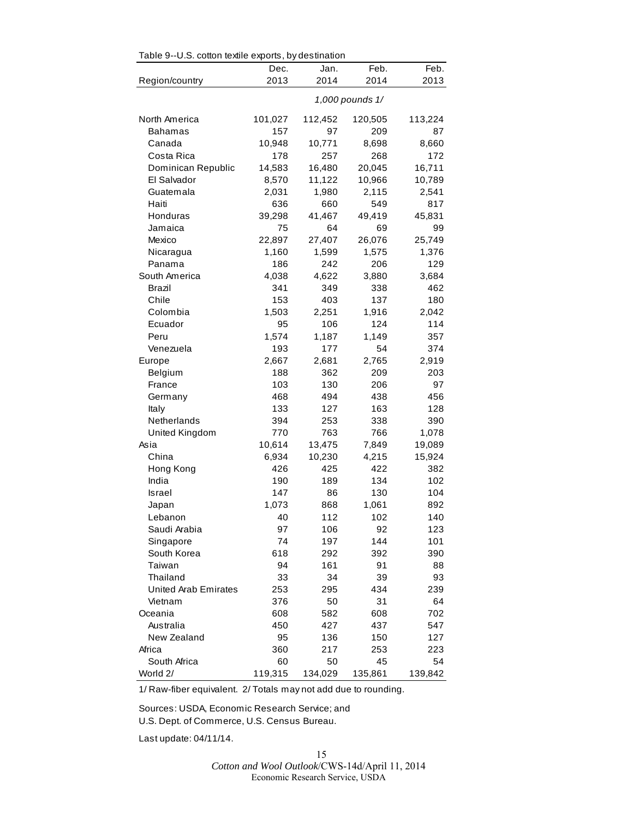| Table 9--U.S. cotton textile exports, by destination |           |           |                 |           |
|------------------------------------------------------|-----------|-----------|-----------------|-----------|
|                                                      | Dec.      | Jan.      | Feb.            | Feb.      |
| Region/country                                       | 2013      | 2014      | 2014            | 2013      |
|                                                      |           |           | 1,000 pounds 1/ |           |
| North America                                        | 101,027   | 112,452   | 120,505         | 113,224   |
| Bahamas                                              | 157       | 97        | 209             | 87        |
| Canada                                               | 10,948    | 10,771    | 8,698           | 8,660     |
| Costa Rica                                           | 178       | 257       | 268             | 172       |
| Dominican Republic                                   | 14,583    | 16,480    | 20,045          | 16,711    |
| El Salvador                                          | 8,570     | 11,122    | 10,966          | 10,789    |
| Guatemala                                            | 2,031     | 1,980     | 2,115           | 2,541     |
| Haiti                                                | 636       | 660       | 549             | 817       |
| Honduras                                             | 39,298    | 41,467    | 49,419          | 45,831    |
| Jamaica                                              | 75        | 64        | 69              | 99        |
| Mexico                                               | 22,897    | 27,407    | 26,076          | 25,749    |
| Nicaragua                                            | 1,160     | 1,599     | 1,575           | 1,376     |
| Panama                                               | 186       | 242       | 206             | 129       |
| South America                                        | 4,038     | 4,622     | 3,880           | 3,684     |
| Brazil                                               | 341       | 349       | 338             | 462       |
| Chile                                                | 153       | 403       | 137             | 180       |
| Colombia                                             | 1,503     | 2,251     | 1,916           | 2,042     |
| Ecuador                                              | 95        | 106       | 124             | 114       |
| Peru                                                 | 1,574     | 1,187     | 1,149           | 357       |
| Venezuela                                            | 193       | 177       | 54              | 374       |
| Europe                                               | 2,667     | 2,681     | 2,765           | 2,919     |
| Belgium                                              | 188       | 362       | 209             | 203       |
| France                                               | 103       | 130       | 206             | 97        |
| Germany                                              | 468       | 494       | 438             | 456       |
| Italy                                                | 133       | 127       | 163             | 128       |
| Netherlands                                          | 394       | 253       | 338             | 390       |
| United Kingdom                                       | 770       | 763       | 766             | 1,078     |
| Asia                                                 | 10,614    | 13,475    | 7,849           | 19,089    |
| China                                                | 6,934     | 10,230    | 4,215           | 15,924    |
| Hong Kong                                            | 426       | 425       | 422             | 382       |
| India                                                | 190       | 189       | 134             | 102       |
| Israel                                               | 147       | 86        | 130             | 104       |
| Japan                                                | 1,073     | 868       | 1,061           | 892       |
| Lebanon                                              | 40        | 112       | 102             | 140       |
| Saudi Arabia                                         | 97        | 106       | 92              | 123       |
| Singapore                                            | 74        | 197       | 144             | 101       |
| South Korea                                          | 618       | 292       | 392             | 390       |
| Taiwan                                               | 94        | 161       | 91              | 88        |
| Thailand                                             | 33        | 34        | 39              | 93        |
| United Arab Emirates                                 | 253       | 295       | 434             | 239       |
| Vietnam                                              | 376       | 50        | 31              | 64        |
| Oceania                                              | 608       | 582       | 608             | 702       |
| Australia<br>New Zealand                             | 450       | 427       | 437             | 547       |
| Africa                                               | 95        | 136       | 150             | 127       |
| South Africa                                         | 360<br>60 | 217<br>50 | 253<br>45       | 223<br>54 |
| World 2/                                             | 119,315   | 134,029   | 135,861         | 139,842   |
|                                                      |           |           |                 |           |

 $\frac{1}{2}$ 

1/ Raw-fiber equivalent. 2/ Totals may not add due to rounding.

Sources: USDA, Economic Research Service; and U.S. Dept. of Commerce, U.S. Census Bureau.